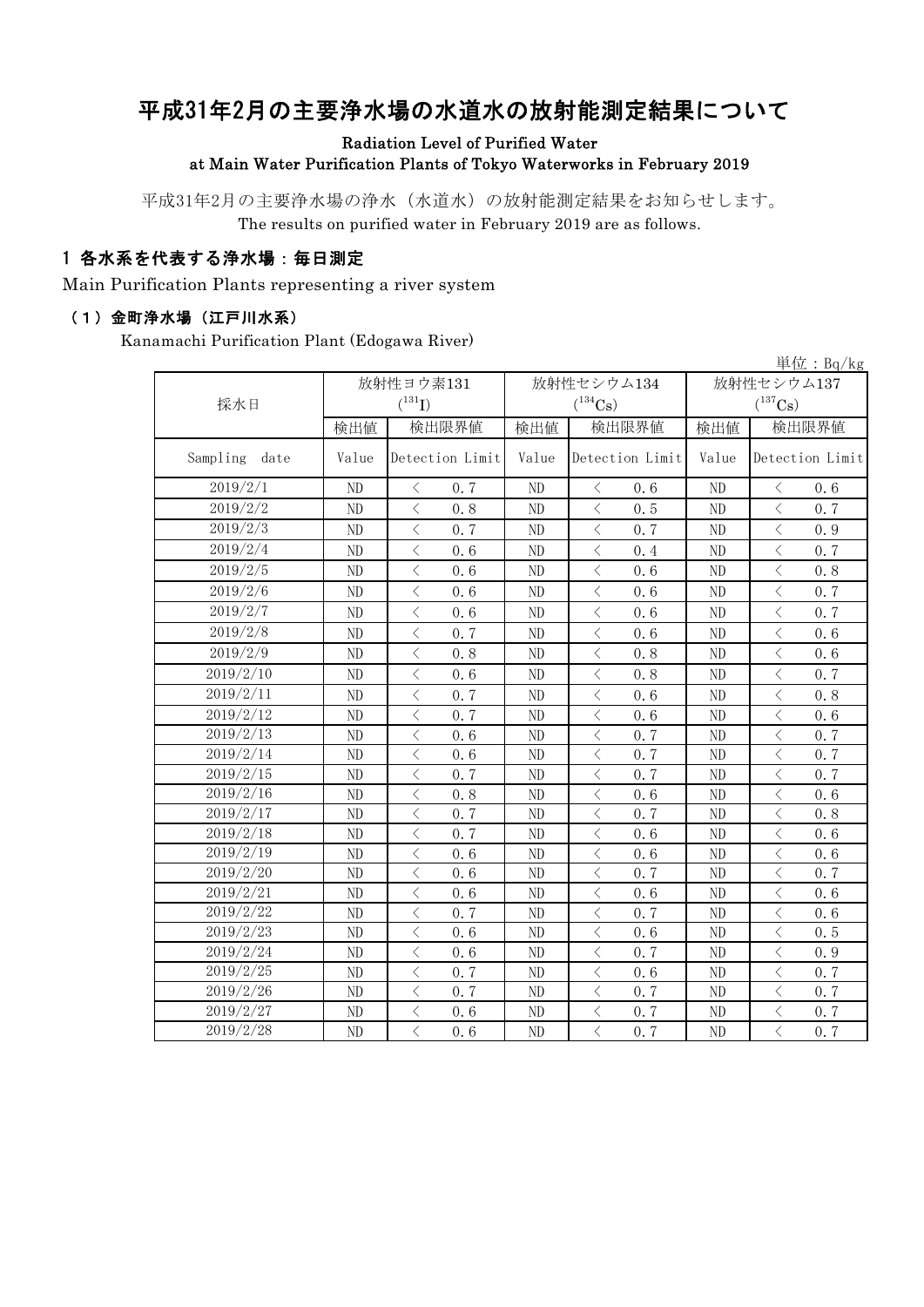# 平成31年2月の主要浄水場の水道水の放射能測定結果について

### Radiation Level of Purified Water at Main Water Purification Plants of Tokyo Waterworks in February 2019

平成31年2月の主要浄水場の浄水(水道水)の放射能測定結果をお知らせします。 The results on purified water in February 2019 are as follows.

### 1 各水系を代表する浄水場:毎日測定

Main Purification Plants representing a river system

#### (1)金町浄水場(江戸川水系)

Kanamachi Purification Plant (Edogawa River)

|                  |                |                                                 |                |                                                 |                       | 単位: $Bq/kg$                                     |  |
|------------------|----------------|-------------------------------------------------|----------------|-------------------------------------------------|-----------------------|-------------------------------------------------|--|
|                  |                | 放射性ヨウ素131                                       |                | 放射性セシウム134                                      | 放射性セシウム137            |                                                 |  |
| 採水日              |                | $(^{131}I)$                                     |                | $(^{134}Cs)$                                    | $(^{137}\mathrm{Cs})$ |                                                 |  |
|                  | 検出値            | 検出限界値                                           | 検出値            | 検出限界値                                           | 検出値                   | 検出限界値                                           |  |
| Sampling<br>date | Value          | Detection Limit                                 | Value          | Detection Limit                                 | Value                 | Detection Limit                                 |  |
| 2019/2/1         | N <sub>D</sub> | 0.7<br>$\langle$                                | ND             | $\langle$<br>0.6                                | N <sub>D</sub>        | $\langle$<br>0.6                                |  |
| 2019/2/2         | ND             | $\langle$<br>0.8                                | N <sub>D</sub> | $\langle$<br>0.5                                | ND                    | $\langle$<br>0.7                                |  |
| 2019/2/3         | ND             | $\overline{\left\langle \right\rangle }$<br>0.7 | ND             | $\overline{\left\langle \right\rangle }$<br>0.7 | N <sub>D</sub>        | $\overline{\left\langle \right\rangle }$<br>0.9 |  |
| 2019/2/4         | ND             | $\langle$<br>0.6                                | ND             | $\langle$<br>0.4                                | N <sub>D</sub>        | $\lt$<br>0.7                                    |  |
| 2019/2/5         | ND             | $\langle$<br>0.6                                | ND             | $\lt$<br>0.6                                    | ND                    | $\langle$<br>0.8                                |  |
| 2019/2/6         | ND             | $\langle$<br>0.6                                | ND             | $\langle$<br>0.6                                | ND                    | $\overline{\left\langle \right\rangle }$<br>0.7 |  |
| 2019/2/7         | $\rm ND$       | $\overline{\left\langle \right\rangle }$<br>0.6 | ${\rm ND}$     | $\hspace{0.1cm}\big\langle$<br>0.6              | N <sub>D</sub>        | $\langle$<br>0.7                                |  |
| 2019/2/8         | ND             | $\, \zeta \,$<br>0.7                            | ND             | $\lt$<br>0.6                                    | ND                    | $\lt$<br>0.6                                    |  |
| 2019/2/9         | ND             | $\lt$<br>0.8                                    | ND             | $\lt$<br>0.8                                    | $\rm ND$              | $\langle$<br>0.6                                |  |
| 2019/2/10        | ND             | $\langle$<br>0.6                                | ND             | $\lt$<br>0.8                                    | N <sub>D</sub>        | $\lt$<br>0.7                                    |  |
| 2019/2/11        | ND             | $\overline{\left\langle \right\rangle }$<br>0.7 | ND             | $\overline{\left\langle \right\rangle }$<br>0.6 | N <sub>D</sub>        | $\langle$<br>0.8                                |  |
| 2019/2/12        | ND             | $\langle$<br>0.7                                | ND             | $\langle$<br>0.6                                | ND                    | $\lt$<br>0.6                                    |  |
| 2019/2/13        | ND             | $\lt$<br>0.6                                    | ND             | $\, < \,$<br>0.7                                | N <sub>D</sub>        | $\lt$<br>0.7                                    |  |
| 2019/2/14        | ND             | $\langle$<br>0.6                                | ND             | 0.7<br>$\lt$                                    | N <sub>D</sub>        | $\langle$<br>0.7                                |  |
| 2019/2/15        | ND             | $\overline{\left\langle \right\rangle }$<br>0.7 | ND             | $\overline{\left\langle \right\rangle }$<br>0.7 | N <sub>D</sub>        | $\langle$<br>0.7                                |  |
| 2019/2/16        | ND             | $\langle$<br>0.8                                | ND             | $\langle$<br>0.6                                | ND                    | $\overline{\left\langle \right\rangle }$<br>0.6 |  |
| 2019/2/17        | ND             | $\langle$<br>0.7                                | ND             | $\langle$<br>0.7                                | N <sub>D</sub>        | $\lt$<br>0.8                                    |  |
| 2019/2/18        | ND             | $\lt$<br>0.7                                    | ND             | $\, < \,$<br>0.6                                | N <sub>D</sub>        | $\langle$<br>0.6                                |  |
| 2019/2/19        | ND             | $\langle$<br>0.6                                | ND             | $\lt$<br>0.6                                    | N <sub>D</sub>        | $\langle$<br>0.6                                |  |
| 2019/2/20        | ND             | $\overline{\left\langle \right\rangle }$<br>0.6 | ND             | $\,<\,$<br>0.7                                  | N <sub>D</sub>        | $\langle$<br>0.7                                |  |
| 2019/2/21        | ND             | $\overline{\left\langle \right\rangle }$<br>0.6 | ND             | $\overline{\left\langle \right\rangle }$<br>0.6 | N <sub>D</sub>        | $\overline{\left\langle \right\rangle }$<br>0.6 |  |
| 2019/2/22        | ND             | $\lt$<br>0.7                                    | ND             | $\,<\,$<br>0.7                                  | N <sub>D</sub>        | $\langle$<br>0.6                                |  |
| 2019/2/23        | ND             | $\langle$<br>0.6                                | ND             | $\,<\,$<br>0.6                                  | N <sub>D</sub>        | $\langle$<br>0.5                                |  |
| 2019/2/24        | ND             | $\langle$<br>0.6                                | ${\rm ND}$     | $\langle$<br>0.7                                | $\rm ND$              | $\lt$<br>0.9                                    |  |
| 2019/2/25        | ND             | $\lt$<br>0.7                                    | ND             | $\langle$<br>0.6                                | $\rm ND$              | 0.7<br>$\lt$                                    |  |
| 2019/2/26        | ND             | $\lt$<br>0.7                                    | ND             | $\lt$<br>0.7                                    | N <sub>D</sub>        | $\langle$<br>0.7                                |  |
| 2019/2/27        | ND             | $\langle$<br>0.6                                | ND             | $\overline{\left\langle \right\rangle }$<br>0.7 | N <sub>D</sub>        | $\langle$<br>0.7                                |  |
| 2019/2/28        | ND             | $\langle$<br>0.6                                | ${\rm ND}$     | $\,<\,$<br>0.7                                  | $\rm ND$              | $\langle$<br>0.7                                |  |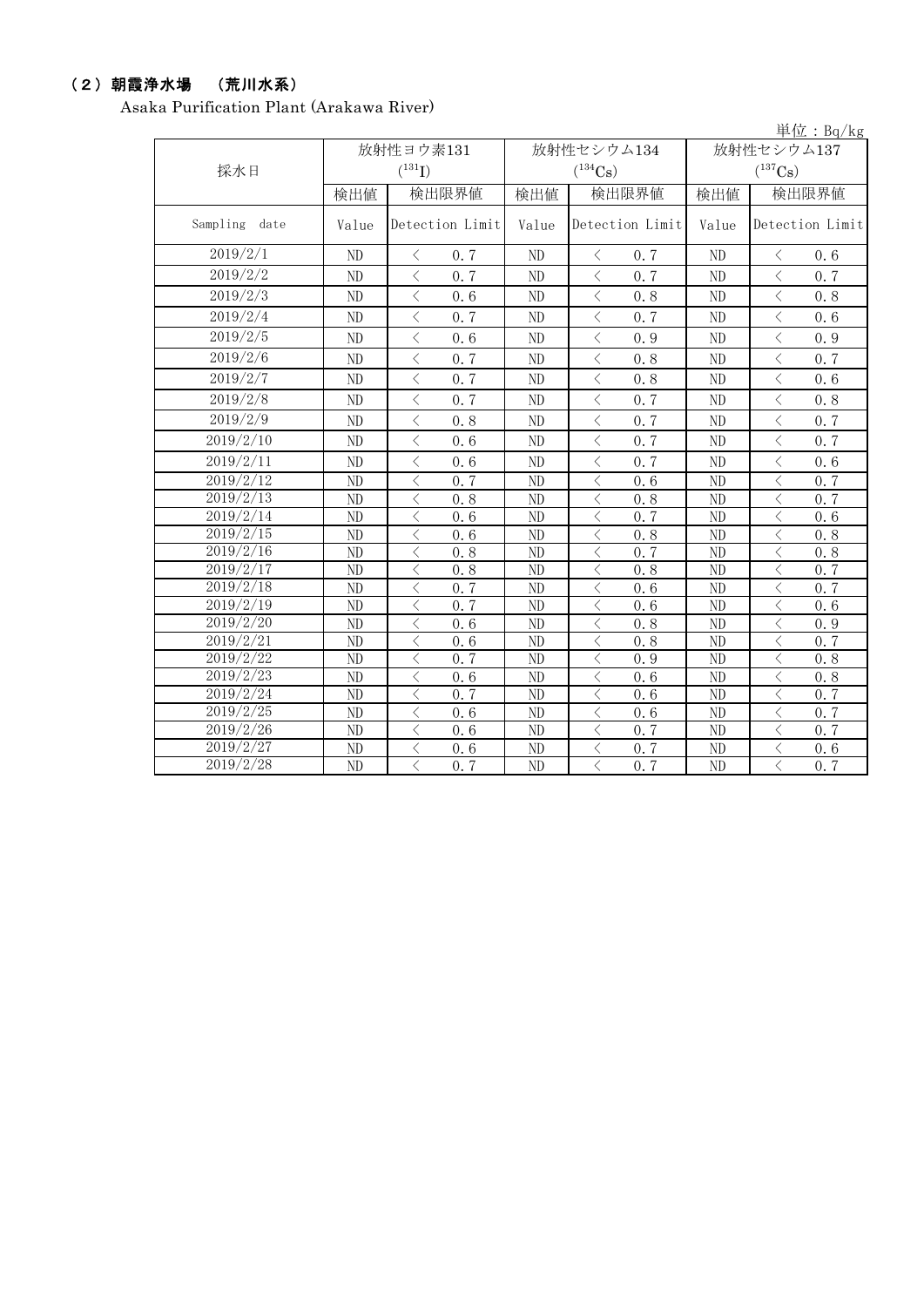## (2)朝霞浄水場 (荒川水系)

Asaka Purification Plant (Arakawa River)

| 単位: $Bq/kg$      |       |                                                 |       |                       |                |                                                  |  |  |  |
|------------------|-------|-------------------------------------------------|-------|-----------------------|----------------|--------------------------------------------------|--|--|--|
|                  |       | 放射性ヨウ素131                                       |       | 放射性セシウム134            | 放射性セシウム137     |                                                  |  |  |  |
| 採水日              |       | $(^{131}I)$                                     |       | $(^{134}Cs)$          |                | $(^{137}\mathrm{Cs})$                            |  |  |  |
|                  | 検出値   | 検出限界値                                           | 検出値   | 検出限界値                 | 検出値            | 検出限界値                                            |  |  |  |
| Sampling<br>date | Value | Detection Limit                                 | Value | Detection Limit       | Value          | Detection Limit                                  |  |  |  |
| 2019/2/1         | ND    | $\langle$<br>0.7                                | ND    | $\langle$<br>0.7      | N <sub>D</sub> | 0.6<br>$\langle$                                 |  |  |  |
| 2019/2/2         | ND    | $\langle$<br>0.7                                | ND    | $\langle$<br>0.7      | N <sub>D</sub> | $\langle$<br>0.7                                 |  |  |  |
| 2019/2/3         | ND    | $\langle$<br>0.6                                | ND    | $\langle$<br>0.8      | N <sub>D</sub> | $\langle$<br>0.8                                 |  |  |  |
| 2019/2/4         | ND    | $\overline{\left\langle \right\rangle }$<br>0.7 | ND    | $\,<\,$<br>0.7        | N <sub>D</sub> | $\langle$<br>0.6                                 |  |  |  |
| 2019/2/5         | ND    | $\lt$<br>0.6                                    | ND    | $\,$ $\,$ $\,$<br>0.9 | N <sub>D</sub> | $\langle$<br>0.9                                 |  |  |  |
| 2019/2/6         | ND    | $\langle$<br>0.7                                | ND    | $\langle$<br>0.8      | N <sub>D</sub> | $\langle$<br>0.7                                 |  |  |  |
| 2019/2/7         | ND    | $\lt$<br>0.7                                    | ND    | $\lt$<br>0.8          | N <sub>D</sub> | $\lt$<br>0.6                                     |  |  |  |
| 2019/2/8         | ND    | $\langle$<br>0.7                                | ND    | $\lt$<br>0.7          | N <sub>D</sub> | $\langle$<br>0.8                                 |  |  |  |
| 2019/2/9         | ND    | $\overline{\left\langle \right\rangle }$<br>0.8 | ND    | $\,$ $\,$ $\,$<br>0.7 | N <sub>D</sub> | $\langle$<br>0.7                                 |  |  |  |
| 2019/2/10        | ND    | $\langle$<br>0.6                                | ND    | $\langle$<br>0.7      | N <sub>D</sub> | $\langle$<br>0.7                                 |  |  |  |
| 2019/2/11        | ND    | $\overline{\left\langle \right\rangle }$<br>0.6 | ND    | $\lt$<br>0.7          | N <sub>D</sub> | $\overline{\left\langle \right\rangle }$<br>0.6  |  |  |  |
| 2019/2/12        | ND    | $\langle$<br>0.7                                | ND    | $\lt$<br>0.6          | N <sub>D</sub> | $\langle$<br>0.7                                 |  |  |  |
| 2019/2/13        | ND    | $\lt$<br>0.8                                    | ND    | $\langle$<br>0.8      | N <sub>D</sub> | $\lt$<br>0.7                                     |  |  |  |
| 2019/2/14        | ND    | $\lt$<br>0.6                                    | ND    | $\lt$<br>0.7          | N <sub>D</sub> | $\langle$<br>0.6                                 |  |  |  |
| 2019/2/15        | ND    | $\langle$<br>0.6                                | ND    | $\lt$<br>0.8          | N <sub>D</sub> | $\langle$<br>0.8                                 |  |  |  |
| 2019/2/16        | ND    | $\lt$<br>0.8                                    | ND    | $\lt$<br>0.7          | N <sub>D</sub> | $\lt$<br>0.8                                     |  |  |  |
| 2019/2/17        | ND    | $\lt$<br>0.8                                    | ND    | $\lt$<br>0.8          | N <sub>D</sub> | $\lt$<br>0.7                                     |  |  |  |
| 2019/2/18        | ND    | $\lt$<br>0.7                                    | ND    | $\langle$<br>0.6      | N <sub>D</sub> | $\lt$<br>0.7                                     |  |  |  |
| 2019/2/19        | ND    | $\lt$<br>0.7                                    | ND    | $\langle$<br>0.6      | N <sub>D</sub> | $\lt$<br>0.6                                     |  |  |  |
| 2019/2/20        | ND    | $\lt$<br>0.6                                    | ND    | $\lt$<br>0.8          | N <sub>D</sub> | $\lt$<br>0.9                                     |  |  |  |
| 2019/2/21        | ND    | $\overline{\left\langle \right\rangle }$<br>0.6 | ND    | $\langle$<br>0.8      | N <sub>D</sub> | $\overline{\left\langle \right\rangle }$<br>0, 7 |  |  |  |
| 2019/2/22        | ND    | $\langle$<br>0.7                                | ND    | $\lt$<br>0.9          | N <sub>D</sub> | $\overline{\left\langle \right\rangle }$<br>0.8  |  |  |  |
| 2019/2/23        | ND    | $\lt$<br>0.6                                    | ND    | $\lt$<br>0.6          | N <sub>D</sub> | $\langle$<br>0.8                                 |  |  |  |
| 2019/2/24        | ND    | $\langle$<br>0.7                                | ND    | $\lt$<br>0.6          | N <sub>D</sub> | $\langle$<br>0.7                                 |  |  |  |
| 2019/2/25        | ND    | $\lt$<br>0.6                                    | ND    | $\langle$<br>0.6      | N <sub>D</sub> | 0.7<br>$\lt$                                     |  |  |  |
| 2019/2/26        | ND    | $\langle$<br>0.6                                | ND    | $\langle$<br>0.7      | N <sub>D</sub> | $\overline{\langle}$<br>0.7                      |  |  |  |
| 2019/2/27        | ND    | $\langle$<br>0.6                                | ND    | $\lt$<br>0.7          | N <sub>D</sub> | $\overline{\left\langle \right\rangle }$<br>0.6  |  |  |  |
| 2019/2/28        | ND    | $\langle$<br>0.7                                | ND    | $\langle$<br>0.7      | N <sub>D</sub> | $\overline{\langle}$<br>0.7                      |  |  |  |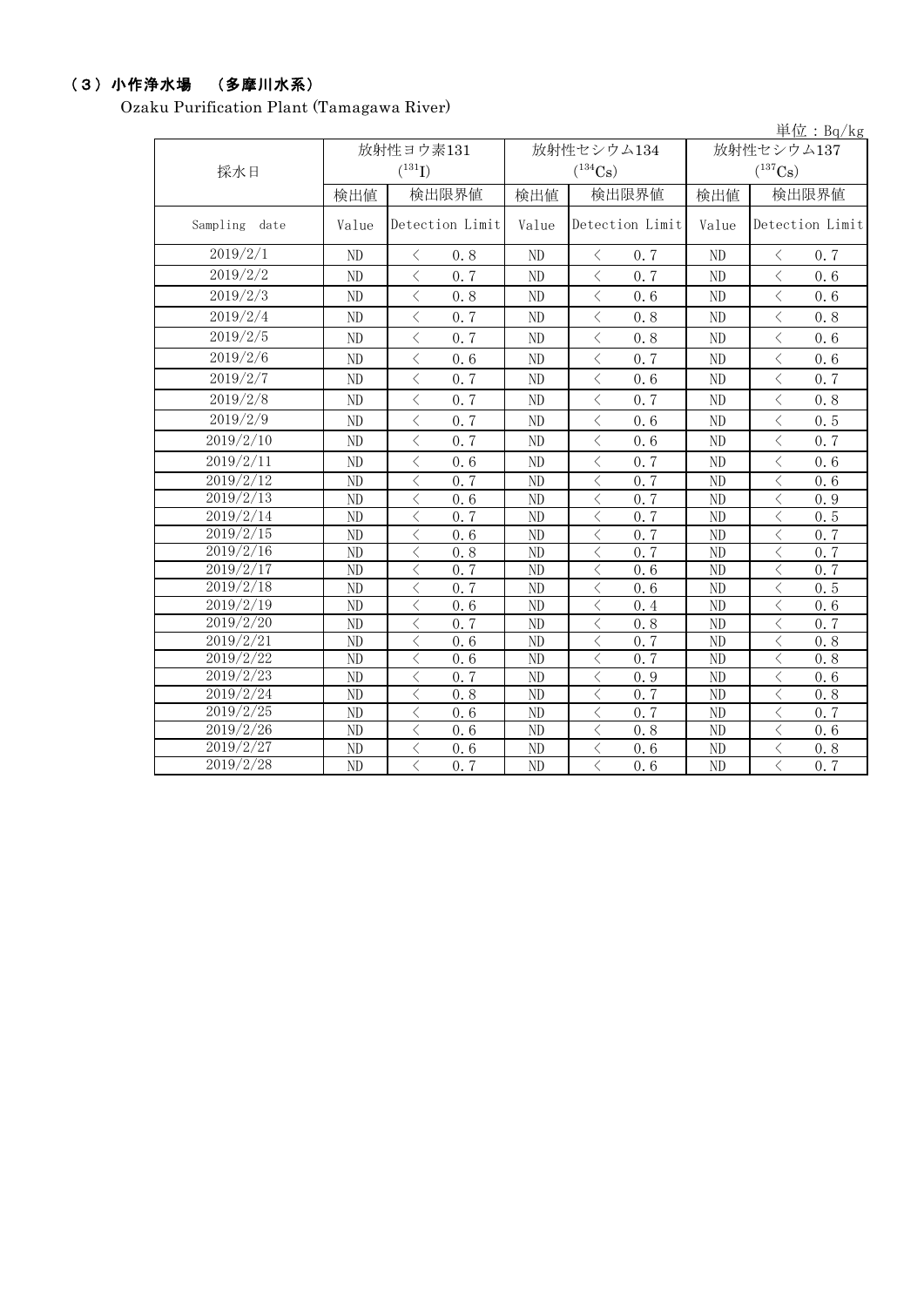## (3)小作浄水場 (多摩川水系)

Ozaku Purification Plant (Tamagawa River)

|                  |                |                                          |                |                       |                       | 単位: Bq/kg                                       |  |
|------------------|----------------|------------------------------------------|----------------|-----------------------|-----------------------|-------------------------------------------------|--|
|                  |                | 放射性ヨウ素131                                |                | 放射性セシウム134            | 放射性セシウム137            |                                                 |  |
| 採水日              |                | $(^{131}I)$                              |                | $(^{134}\mathrm{Cs})$ | $(^{137}\mathrm{Cs})$ |                                                 |  |
|                  | 検出値            | 検出限界値                                    | 検出値            | 検出限界値                 | 検出値                   | 検出限界値                                           |  |
| Sampling<br>date | Value          | Detection Limit                          | Value          | Detection Limit       | Value                 | Detection Limit                                 |  |
| 2019/2/1         | N <sub>D</sub> | 0, 8<br>$\langle$                        | ND             | 0.7<br>$\langle$      | N <sub>D</sub>        | $\lt$<br>0.7                                    |  |
| 2019/2/2         | ND             | $\langle$<br>0.7                         | N <sub>D</sub> | $\langle$<br>0.7      | ND                    | $\langle$<br>0.6                                |  |
| 2019/2/3         | ND             | $\langle$<br>0.8                         | N <sub>D</sub> | $\langle$<br>0.6      | N <sub>D</sub>        | $\langle$<br>0.6                                |  |
| 2019/2/4         | ND             | $\langle$<br>0.7                         | ND             | $\langle$<br>0.8      | N <sub>D</sub>        | $\langle$<br>0.8                                |  |
| 2019/2/5         | N <sub>D</sub> | $\langle$<br>0.7                         | N <sub>D</sub> | $\langle$<br>0.8      | ND                    | $\overline{\left\langle \right\rangle }$<br>0.6 |  |
| 2019/2/6         | ND             | $\langle$<br>0.6                         | ND             | $\lt$<br>0.7          | ND                    | $\langle$<br>0.6                                |  |
| 2019/2/7         | ND             | $\langle$<br>0.7                         | ND             | $\langle$<br>0.6      | ND                    | $\langle$<br>0.7                                |  |
| 2019/2/8         | ND             | $\langle$<br>0.7                         | N <sub>D</sub> | $\langle$<br>0.7      | ND                    | $\lt$<br>0.8                                    |  |
| 2019/2/9         | ND             | $\langle$<br>0.7                         | ND             | $\langle$<br>0.6      | ND                    | $\langle$<br>0.5                                |  |
| 2019/2/10        | ND             | $\langle$<br>0.7                         | N <sub>D</sub> | $\langle$<br>0, 6     | ND                    | $\lt$<br>0.7                                    |  |
| 2019/2/11        | ND             | $\langle$<br>0, 6                        | ND             | $\langle$<br>0.7      | ND                    | $\lt$<br>0.6                                    |  |
| 2019/2/12        | ND             | $\langle$<br>0.7                         | ND             | $\langle$<br>0.7      | ND                    | $\lt$<br>0.6                                    |  |
| 2019/2/13        | ND             | $\langle$<br>0.6                         | ND             | 0.7<br>$\langle$      | ND                    | $\langle$<br>0.9                                |  |
| 2019/2/14        | ND             | $\langle$<br>0.7                         | ND             | $\langle$<br>0.7      | ND                    | $\lt$<br>0.5                                    |  |
| 2019/2/15        | ND             | $\langle$<br>0.6                         | ND             | $\langle$<br>0.7      | ND                    | $\langle$<br>0.7                                |  |
| 2019/2/16        | ND             | $\langle$<br>0.8                         | ND             | $\langle$<br>0.7      | ND                    | $\lt$<br>0.7                                    |  |
| 2019/2/17        | ND             | $\langle$<br>0.7                         | ND             | $\lt$<br>0.6          | ND                    | $\lt$<br>0.7                                    |  |
| 2019/2/18        | ND             | $\lt$<br>0.7                             | ND             | $\langle$<br>0.6      | ND                    | $\overline{\left\langle \right\rangle }$<br>0.5 |  |
| 2019/2/19        | ND             | $\lt$<br>0.6                             | ND             | $\lt$<br>0.4          | ND                    | $\lt$<br>0.6                                    |  |
| 2019/2/20        | ND             | $\langle$<br>0.7                         | N <sub>D</sub> | $\lt$<br>0.8          | ND                    | $\lt$<br>0.7                                    |  |
| 2019/2/21        | ND             | $\langle$<br>0.6                         | ND             | $\lt$<br>0.7          | ND                    | $\lt$<br>0.8                                    |  |
| 2019/2/22        | ND             | $\langle$<br>0.6                         | ND             | $\lt$<br>0.7          | ND                    | $\lt$<br>0.8                                    |  |
| 2019/2/23        | ND             | $\langle$<br>0.7                         | ND             | $\lt$<br>0.9          | ND                    | $\lt$<br>0.6                                    |  |
| 2019/2/24        | ND             | $\langle$<br>0.8                         | N <sub>D</sub> | $\lt$<br>0.7          | ND                    | $\lt$<br>0.8                                    |  |
| 2019/2/25        | ND             | $\langle$<br>0.6                         | ND             | $\langle$<br>0.7      | ND                    | $\lt$<br>0.7                                    |  |
| 2019/2/26        | ND             | $\langle$<br>0.6                         | N <sub>D</sub> | $\langle$<br>0.8      | N <sub>D</sub>        | $\lt$<br>0.6                                    |  |
| 2019/2/27        | ND             | $\langle$<br>0.6                         | ND             | $\langle$<br>0.6      | ND                    | $\lt$<br>0.8                                    |  |
| 2019/2/28        | N <sub>D</sub> | $\overline{\langle}$<br>$0.\overline{7}$ | ND             | $\langle$<br>0.6      | ND                    | $\langle$<br>$0.\overline{7}$                   |  |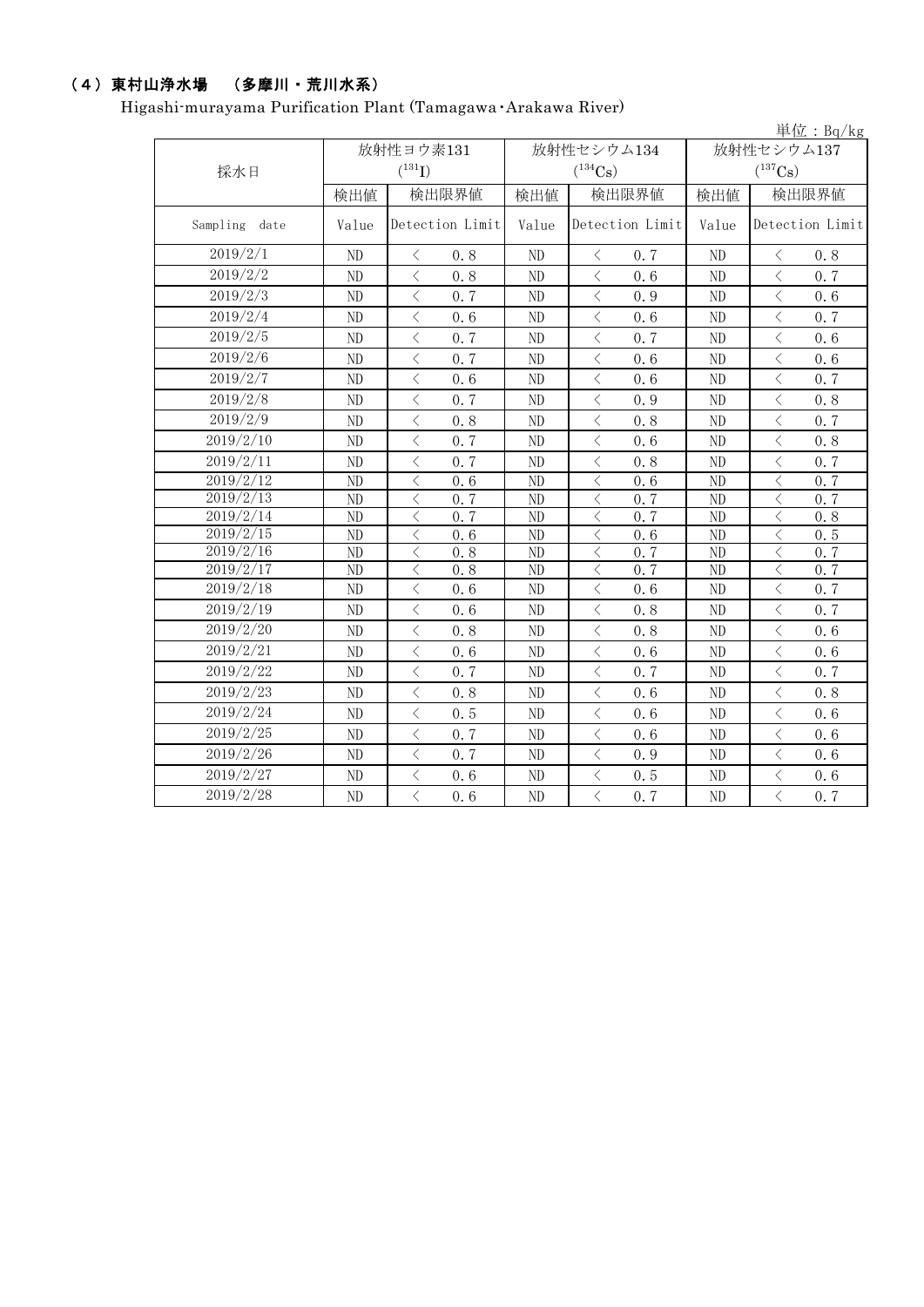## (4)東村山浄水場 (多摩川・荒川水系)

Higashi-murayama Purification Plant (Tamagawa・Arakawa River)

|                  |                 |                                                 |                 |                                                                                                                                                                                     |                 | 単位: $Bq/kg$                                     |  |
|------------------|-----------------|-------------------------------------------------|-----------------|-------------------------------------------------------------------------------------------------------------------------------------------------------------------------------------|-----------------|-------------------------------------------------|--|
|                  | 放射性ヨウ素131       |                                                 |                 | 放射性セシウム134                                                                                                                                                                          | 放射性セシウム137      |                                                 |  |
| 採水日              |                 | $(^{131}I)$                                     |                 | $(^{134}\mathrm{Cs})$                                                                                                                                                               |                 | $(^{137}\mathrm{Cs})$                           |  |
|                  | 検出値             | 検出限界値                                           | 検出値             | 検出限界値                                                                                                                                                                               | 検出値             | 検出限界値                                           |  |
| Sampling<br>date | Value           | Detection Limit                                 | Value           | Detection Limit                                                                                                                                                                     | Value           | Detection Limit                                 |  |
| 2019/2/1         | ND              | $\lt$<br>0.8                                    | N <sub>D</sub>  | $\langle$<br>0.7                                                                                                                                                                    | N <sub>D</sub>  | $\, \zeta \,$<br>0.8                            |  |
| 2019/2/2         | ND              | $\overline{\left\langle \right\rangle }$<br>0.8 | ND              | $\langle$<br>0, 6                                                                                                                                                                   | ND              | $\overline{\left\langle \right\rangle }$<br>0.7 |  |
| 2019/2/3         | ND              | $\langle$<br>0.7                                | ND              | $\,<\,$<br>0.9                                                                                                                                                                      | ND              | $\overline{\left\langle \right\rangle }$<br>0.6 |  |
| 2019/2/4         | ND              | $\langle$<br>0.6                                | ND              | $\hspace{0.1mm} <$<br>0.6                                                                                                                                                           | ND              | $\langle$<br>0.7                                |  |
| 2019/2/5         | ND              | $\langle$<br>0.7                                | ND              | $\langle$<br>0.7                                                                                                                                                                    | ND              | $\langle$<br>0.6                                |  |
| 2019/2/6         | $\rm ND$        | $\overline{\left\langle \right\rangle }$<br>0.7 | ND              | $\, <\,$<br>0.6                                                                                                                                                                     | $\rm ND$        | $\,$ $\,$ $\,$<br>0.6                           |  |
| 2019/2/7         | ND              | $\overline{\left\langle \right\rangle }$<br>0.6 | ND              | $\overline{\left\langle \right\rangle }$<br>0.6                                                                                                                                     | $\rm ND$        | $\overline{\left\langle \right\rangle }$<br>0.7 |  |
| 2019/2/8         | ND              | $\,<\,$<br>0.7                                  | ND              | $\lt$<br>0.9                                                                                                                                                                        | ND              | $\lt$<br>0.8                                    |  |
| 2019/2/9         | ND              | $\langle$<br>0.8                                | ND              | $\,$ $\,$ $\,$<br>0.8                                                                                                                                                               | $\rm ND$        | $\lt$<br>0.7                                    |  |
| 2019/2/10        | ND              | $\langle$<br>0.7                                | ND              | $\langle$<br>0.6                                                                                                                                                                    | ND              | $\overline{\left\langle \right\rangle }$<br>0.8 |  |
| 2019/2/11        | ${\rm ND}$      | $\overline{\left\langle \right\rangle }$<br>0.7 | ND              | $\,<\,$<br>0.8                                                                                                                                                                      | ND              | $\langle$<br>0.7                                |  |
| 2019/2/12        | ND              | $\lt$<br>0.6                                    | ND              | $\,$ $\,$ $\,$<br>0.6                                                                                                                                                               | ND              | $\langle$<br>0.7                                |  |
| 2019/2/13        | ${\rm ND}$      | $\,$ $\,$<br>0.7                                | ${\rm ND}$      | 0.7<br>$\lt$                                                                                                                                                                        | $\rm ND$        | $\langle$<br>0.7                                |  |
| 2019/2/14        | ND              | $\langle$<br>0.7                                | ND              | $\,<\,$<br>0.7                                                                                                                                                                      | ND              | $\langle$<br>0.8                                |  |
| 2019/2/15        | ND              | $\langle$<br>0.6                                | ND              | $\langle$<br>0.6                                                                                                                                                                    | ND              | $\langle$<br>0.5                                |  |
| 2019/2/16        | ND              | $\,$ $\,$ $\,$<br>0.8                           | ND              | $\lt$<br>0.7                                                                                                                                                                        | ${\rm ND}$      | $\langle$<br>0.7                                |  |
| 2019/2/17        | $\overline{ND}$ | $\overline{\langle}$<br>0.8                     | $\overline{ND}$ | $\overline{\langle}$<br>0.7                                                                                                                                                         | $\overline{ND}$ | $\overline{\langle}$<br>0.7                     |  |
| 2019/2/18        | ND              | $\langle$<br>0.6                                | ND              | $\langle$<br>0.6                                                                                                                                                                    | ND              | $\langle$<br>0.7                                |  |
| 2019/2/19        | ND              | $\langle$<br>0.6                                | ND              | $\,<\,$<br>0.8                                                                                                                                                                      | N <sub>D</sub>  | $\langle$<br>0.7                                |  |
| 2019/2/20        | $\rm ND$        | $\langle$<br>0.8                                | ND              | 0.8<br>$\langle$                                                                                                                                                                    | $\rm ND$        | $\overline{\left\langle \right\rangle }$<br>0.6 |  |
| 2019/2/21        | ND              | $\overline{\left\langle \right\rangle }$<br>0.6 | ND              | $\,$ $\,$ $\,$<br>0.6                                                                                                                                                               | $\rm ND$        | $\overline{\left\langle \right\rangle }$<br>0.6 |  |
| 2019/2/22        | ND              | $\overline{\left\langle \right\rangle }$<br>0.7 | ND              | $\langle$<br>0.7                                                                                                                                                                    | ND              | $\overline{\left\langle \right\rangle }$<br>0.7 |  |
| 2019/2/23        | ND              | $\langle$<br>0.8                                | ND              | $\lt$<br>0.6                                                                                                                                                                        | ND              | $\lt$<br>0.8                                    |  |
| 2019/2/24        | ND              | $\overline{\left\langle \right\rangle }$<br>0.5 | ND              | $\langle$<br>0.6                                                                                                                                                                    | ND              | $\overline{\left\langle \right\rangle }$<br>0.6 |  |
| 2019/2/25        | ND              | $\overline{\left\langle \right\rangle }$<br>0.7 | ND              | $\overline{\left\langle \right. }% ,\left\langle \overline{\left\langle \right. }% ,\left\langle \overline{\left\langle \right. }\right\rangle \right\rangle \left. \right.$<br>0.6 | ND              | $\overline{\left\langle \right\rangle }$<br>0.6 |  |
| 2019/2/26        | ND              | $\langle$<br>0.7                                | ND              | $\hspace{0.1mm} <\hspace{0.1mm}$<br>0.9                                                                                                                                             | ND              | $\langle$<br>0.6                                |  |
| 2019/2/27        | ND              | $\langle$<br>0.6                                | ND              | $\langle$<br>0.5                                                                                                                                                                    | ND              | $\lt$<br>0.6                                    |  |
| 2019/2/28        | ND              | $\overline{\left\langle \right\rangle }$<br>0.6 | ND              | $\,<\,$<br>0.7                                                                                                                                                                      | $\rm ND$        | $\,$ $\,$ $\,$<br>0.7                           |  |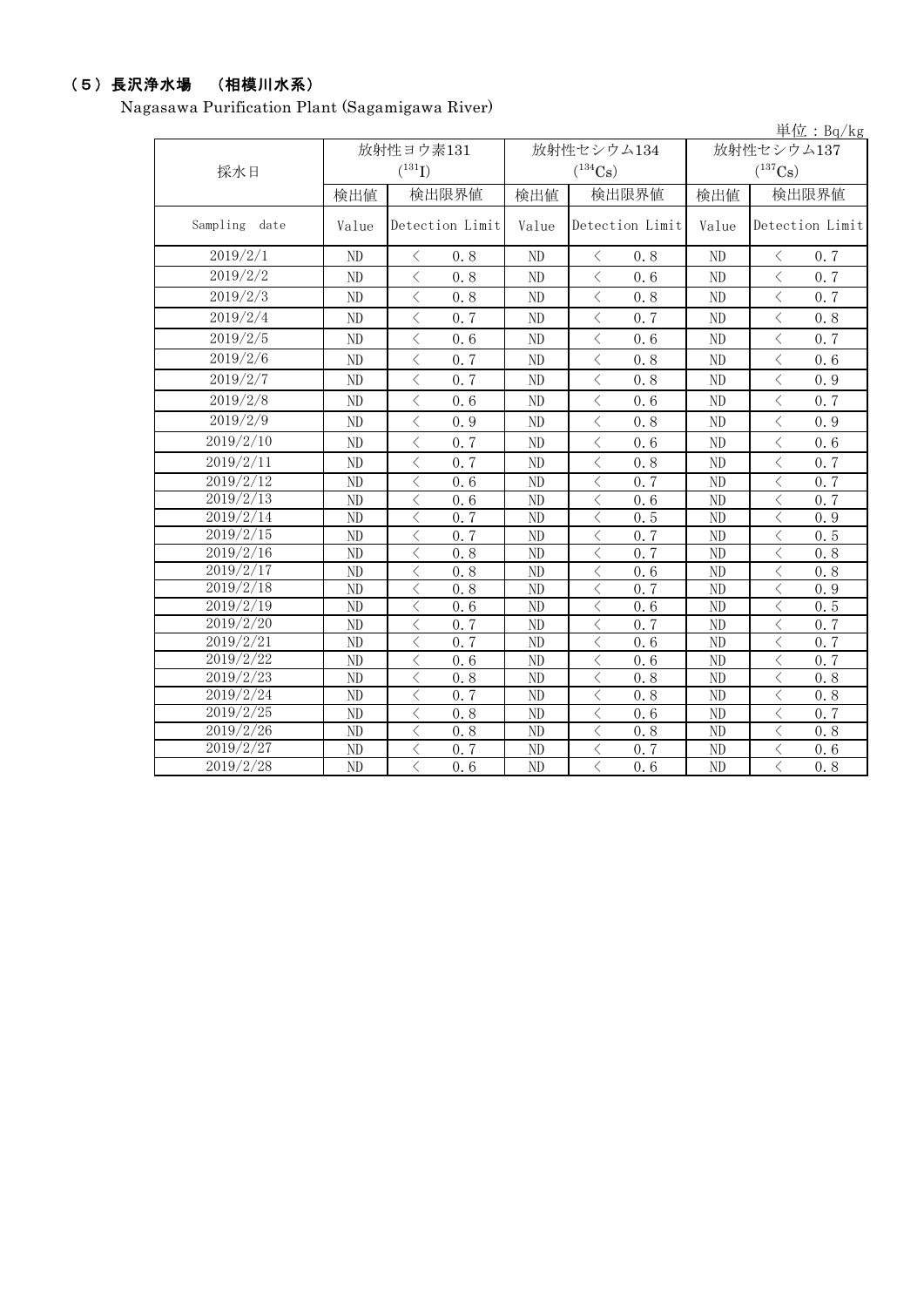## (5)長沢浄水場 (相模川水系)

Nagasawa Purification Plant (Sagamigawa River)

|                  |                |                                                 |                |                                                 |                       | 単位: $Bq/kg$                                     |  |
|------------------|----------------|-------------------------------------------------|----------------|-------------------------------------------------|-----------------------|-------------------------------------------------|--|
|                  |                | 放射性ヨウ素131                                       |                | 放射性セシウム134                                      | 放射性セシウム137            |                                                 |  |
| 採水日              |                | $(^{131}I)$                                     |                | $(^{134}\mathrm{Cs})$                           | $(^{137}\mathrm{Cs})$ |                                                 |  |
|                  | 検出値            | 検出限界値                                           | 検出値            | 検出限界値                                           | 検出値                   | 検出限界値                                           |  |
| Sampling<br>date | Value          | Detection Limit                                 | Value          | Detection Limit                                 | Value                 | Detection Limit                                 |  |
| 2019/2/1         | ND             | $\lt$<br>0.8                                    | ND             | $\langle$<br>0.8                                | $\rm ND$              | 0.7<br>$\langle$                                |  |
| 2019/2/2         | ND             | $\langle$<br>0.8                                | ND             | $\langle$<br>0.6                                | ND                    | $\lt$<br>0.7                                    |  |
| 2019/2/3         | ND             | $\overline{\left\langle \right\rangle }$<br>0.8 | ND             | $\langle$<br>0.8                                | N <sub>D</sub>        | $\langle$<br>0.7                                |  |
| 2019/2/4         | ND             | $\overline{\left\langle \right\rangle }$<br>0.7 | ND             | $\overline{\left\langle \right\rangle }$<br>0.7 | ND                    | $\langle$<br>0.8                                |  |
| 2019/2/5         | ND             | $\langle$<br>0.6                                | ND             | $\langle$<br>0.6                                | ND                    | $\lt$<br>0.7                                    |  |
| 2019/2/6         | ND             | $\langle$<br>0.7                                | ND             | $\langle$<br>0.8                                | N <sub>D</sub>        | $\overline{\left\langle \right\rangle }$<br>0.6 |  |
| 2019/2/7         | ND             | $\langle$<br>0.7                                | ND             | $\langle$<br>0.8                                | ND                    | $\overline{\left\langle \right\rangle }$<br>0.9 |  |
| 2019/2/8         | ND             | $\langle$<br>0.6                                | ND             | $\langle$<br>0.6                                | ND                    | $\lt$<br>0.7                                    |  |
| 2019/2/9         | ND             | $\langle$<br>0.9                                | ND             | $\lt$<br>0.8                                    | N <sub>D</sub>        | $\langle$<br>0.9                                |  |
| 2019/2/10        | ND             | $\langle$<br>0.7                                | ND             | $\overline{\left\langle \right\rangle }$<br>0.6 | ND                    | $\overline{\left\langle \right\rangle }$<br>0.6 |  |
| 2019/2/11        | N <sub>D</sub> | $\langle$<br>0.7                                | ND             | $\langle$<br>0.8                                | ND                    | $\langle$<br>0.7                                |  |
| 2019/2/12        | ND             | $\langle$<br>0.6                                | ND             | $\langle$<br>0.7                                | ND                    | $\lt$<br>0.7                                    |  |
| 2019/2/13        | ND             | $\langle$<br>0.6                                | ND             | $\lt$<br>0.6                                    | ND                    | $\langle$<br>0.7                                |  |
| 2019/2/14        | ND             | $\langle$<br>0, 7                               | ND             | $\lt$<br>0.5                                    | ND                    | $\langle$<br>0.9                                |  |
| 2019/2/15        | ND             | $\lt$<br>0.7                                    | ND             | $\lt$<br>0.7                                    | ND                    | $\lt$<br>0.5                                    |  |
| 2019/2/16        | ND             | $\lt$<br>0.8                                    | ND             | $\langle$<br>0.7                                | ND                    | $\langle$<br>0.8                                |  |
| 2019/2/17        | ND             | $\langle$<br>0.8                                | ND             | $\langle$<br>0.6                                | ND                    | $\langle$<br>0.8                                |  |
| 2019/2/18        | ND             | $\lt$<br>0.8                                    | ND             | $\lt$<br>0.7                                    | N <sub>D</sub>        | $\lt$<br>0.9                                    |  |
| 2019/2/19        | ND             | $\langle$<br>0.6                                | ND             | $\langle$<br>0.6                                | ND                    | $\lt$<br>0.5                                    |  |
| 2019/2/20        | ND             | $\langle$<br>0.7                                | ND             | $\lt$<br>0.7                                    | ND                    | $\langle$<br>0.7                                |  |
| 2019/2/21        | ND             | $\langle$<br>0.7                                | N <sub>D</sub> | $\lt$<br>0.6                                    | N <sub>D</sub>        | $\langle$<br>0.7                                |  |
| 2019/2/22        | ND             | $\langle$<br>0.6                                | ND             | $\lt$<br>0.6                                    | ND                    | $\langle$<br>0.7                                |  |
| 2019/2/23        | ND             | $\langle$<br>0.8                                | ND             | $\lt$<br>0.8                                    | ND                    | $\langle$<br>0.8                                |  |
| 2019/2/24        | ND             | $\langle$<br>0.7                                | ND             | $\,<\,$<br>0.8                                  | ND                    | $\langle$<br>0.8                                |  |
| 2019/2/25        | ND             | $\lt$<br>0.8                                    | ND             | $\lt$<br>0.6                                    | ND                    | $\langle$<br>0.7                                |  |
| 2019/2/26        | ND             | $\overline{\langle}$<br>0.8                     | ND             | $\overline{\langle}$<br>0.8                     | ND                    | $\overline{\langle}$<br>0.8                     |  |
| 2019/2/27        | ND             | $\lt$<br>0.7                                    | ND             | $\lt$<br>0.7                                    | ND                    | $\langle$<br>0.6                                |  |
| 2019/2/28        | N <sub>D</sub> | $\overline{\langle}$<br>0.6                     | ND             | $\overline{\langle}$<br>0.6                     | N <sub>D</sub>        | $\overline{\langle}$<br>0.8                     |  |